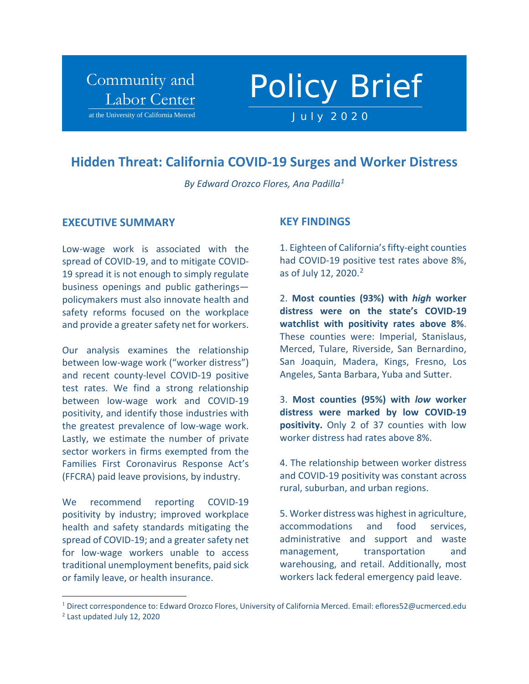Community and Labor Center at the University of California Merced

Policy Brief

J u l y 2 0 2 0

# **Hidden Threat: California COVID-19 Surges and Worker Distress**

*By Edward Orozco Flores, Ana Padilla[1](#page-0-0)*

# **EXECUTIVE SUMMARY**

Low-wage work is associated with the spread of COVID-19, and to mitigate COVID-19 spread it is not enough to simply regulate business openings and public gatherings policymakers must also innovate health and safety reforms focused on the workplace and provide a greater safety net for workers.

Our analysis examines the relationship between low-wage work ("worker distress") and recent county-level COVID-19 positive test rates. We find a strong relationship between low-wage work and COVID-19 positivity, and identify those industries with the greatest prevalence of low-wage work. Lastly, we estimate the number of private sector workers in firms exempted from the Families First Coronavirus Response Act's (FFCRA) paid leave provisions, by industry.

We recommend reporting COVID-19 positivity by industry; improved workplace health and safety standards mitigating the spread of COVID-19; and a greater safety net for low-wage workers unable to access traditional unemployment benefits, paid sick or family leave, or health insurance.

# **KEY FINDINGS**

1. Eighteen of California's fifty-eight counties had COVID-19 positive test rates above 8%, as of July 1[2](#page-0-1), 2020. $2$ 

2. **Most counties (93%) with** *high* **worker distress were on the state's COVID-19 watchlist with positivity rates above 8%**. These counties were: Imperial, Stanislaus, Merced, Tulare, Riverside, San Bernardino, San Joaquin, Madera, Kings, Fresno, Los Angeles, Santa Barbara, Yuba and Sutter.

3. **Most counties (95%) with** *low* **worker distress were marked by low COVID-19 positivity.** Only 2 of 37 counties with low worker distress had rates above 8%.

4. The relationship between worker distress and COVID-19 positivity was constant across rural, suburban, and urban regions.

5. Worker distress was highest in agriculture, accommodations and food services, administrative and support and waste management, transportation and warehousing, and retail. Additionally, most workers lack federal emergency paid leave.

<span id="page-0-1"></span><span id="page-0-0"></span><sup>&</sup>lt;sup>1</sup> Direct correspondence to: Edward Orozco Flores, University of California Merced. Email: eflores52@ucmerced.edu <sup>2</sup> Last updated July 12, 2020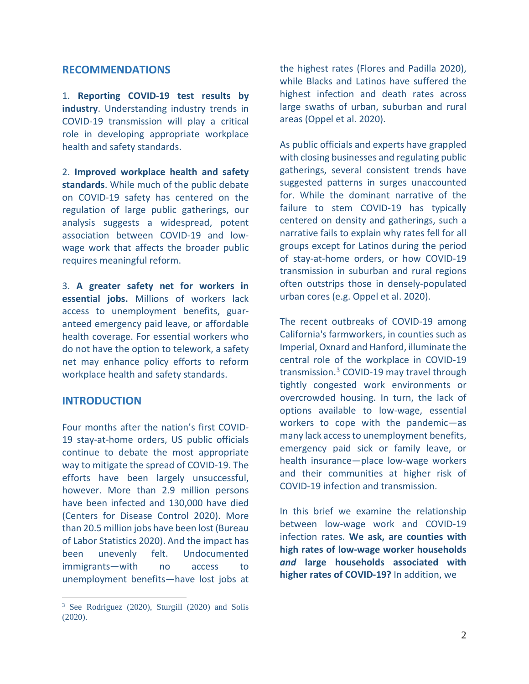#### **RECOMMENDATIONS**

1. **Reporting COVID-19 test results by industry**. Understanding industry trends in COVID-19 transmission will play a critical role in developing appropriate workplace health and safety standards.

2. **Improved workplace health and safety standards**. While much of the public debate on COVID-19 safety has centered on the regulation of large public gatherings, our analysis suggests a widespread, potent association between COVID-19 and lowwage work that affects the broader public requires meaningful reform.

3. **A greater safety net for workers in essential jobs.** Millions of workers lack access to unemployment benefits, guaranteed emergency paid leave, or affordable health coverage. For essential workers who do not have the option to telework, a safety net may enhance policy efforts to reform workplace health and safety standards.

# **INTRODUCTION**

Four months after the nation's first COVID-19 stay-at-home orders, US public officials continue to debate the most appropriate way to mitigate the spread of COVID-19. The efforts have been largely unsuccessful, however. More than 2.9 million persons have been infected and 130,000 have died (Centers for Disease Control 2020). More than 20.5 million jobs have been lost (Bureau of Labor Statistics 2020). And the impact has been unevenly felt. Undocumented immigrants—with no access to unemployment benefits—have lost jobs at

the highest rates (Flores and Padilla 2020), while Blacks and Latinos have suffered the highest infection and death rates across large swaths of urban, suburban and rural areas (Oppel et al. 2020).

As public officials and experts have grappled with closing businesses and regulating public gatherings, several consistent trends have suggested patterns in surges unaccounted for. While the dominant narrative of the failure to stem COVID-19 has typically centered on density and gatherings, such a narrative fails to explain why rates fell for all groups except for Latinos during the period of stay-at-home orders, or how COVID-19 transmission in suburban and rural regions often outstrips those in densely-populated urban cores (e.g. Oppel et al. 2020).

The recent outbreaks of COVID-19 among California's farmworkers, in counties such as Imperial, Oxnard and Hanford, illuminate the central role of the workplace in COVID-19 transmission.[3](#page-1-0) COVID-19 may travel through tightly congested work environments or overcrowded housing. In turn, the lack of options available to low-wage, essential workers to cope with the pandemic—as many lack access to unemployment benefits, emergency paid sick or family leave, or health insurance—place low-wage workers and their communities at higher risk of COVID-19 infection and transmission.

In this brief we examine the relationship between low-wage work and COVID-19 infection rates. **We ask, are counties with high rates of low-wage worker households**  *and* **large households associated with higher rates of COVID-19?** In addition, we

<span id="page-1-0"></span><sup>3</sup> See Rodriguez (2020), Sturgill (2020) and Solis (2020).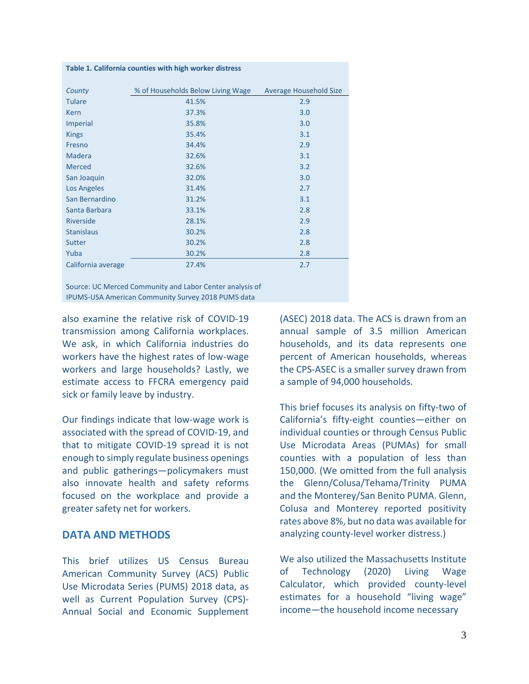| Table 1. California counties with high worker distress |  |  |  |  |  |
|--------------------------------------------------------|--|--|--|--|--|
|--------------------------------------------------------|--|--|--|--|--|

| County             | % of Households Below Living Wage | <b>Average Household Size</b> |
|--------------------|-----------------------------------|-------------------------------|
| <b>Tulare</b>      | 41.5%                             | 2.9                           |
| <b>Kern</b>        | 37.3%                             | 3.0                           |
| Imperial           | 35.8%                             | 3.0                           |
| <b>Kings</b>       | 35.4%                             | 3.1                           |
| Fresno             | 34.4%                             | 2.9                           |
| Madera             | 32.6%                             | 3.1                           |
| <b>Merced</b>      | 32.6%                             | 3.2                           |
| San Joaquin        | 32.0%                             | 3.0                           |
| Los Angeles        | 31.4%                             | 2.7                           |
| San Bernardino     | 31.2%                             | 3.1                           |
| Santa Barbara      | 33.1%                             | 2.8                           |
| Riverside          | 28.1%                             | 2.9                           |
| <b>Stanislaus</b>  | 30.2%                             | 2.8                           |
| Sutter             | 30.2%                             | 2.8                           |
| Yuba               | 30.2%                             | 2.8                           |
| California average | 27.4%                             | 2.7                           |

Source: UC Merced Community and Labor Center analysis of IPUMS-USA American Community Survey 2018 PUMS data

also examine the relative risk of COVID-19 transmission among California workplaces. We ask, in which California industries do workers have the highest rates of low-wage workers and large households? Lastly, we estimate access to FFCRA emergency paid sick or family leave by industry.

Our findings indicate that low-wage work is associated with the spread of COVID-19, and that to mitigate COVID-19 spread it is not enough to simply regulate business openings and public gatherings—policymakers must also innovate health and safety reforms focused on the workplace and provide a greater safety net for workers.

#### **DATA AND METHODS**

This brief utilizes US Census Bureau American Community Survey (ACS) Public Use Microdata Series (PUMS) 2018 data, as well as Current Population Survey (CPS)- Annual Social and Economic Supplement (ASEC) 2018 data. The ACS is drawn from an annual sample of 3.5 million American households, and its data represents one percent of American households, whereas the CPS-ASEC is a smaller survey drawn from a sample of 94,000 households.

This brief focuses its analysis on fifty-two of California's fifty-eight counties—either on individual counties or through Census Public Use Microdata Areas (PUMAs) for small counties with a population of less than 150,000. (We omitted from the full analysis the Glenn/Colusa/Tehama/Trinity PUMA and the Monterey/San Benito PUMA. Glenn, Colusa and Monterey reported positivity rates above 8%, but no data was available for analyzing county-level worker distress.)

We also utilized the Massachusetts Institute of Technology (2020) Living Wage Calculator, which provided county-level estimates for a household "living wage" income—the household income necessary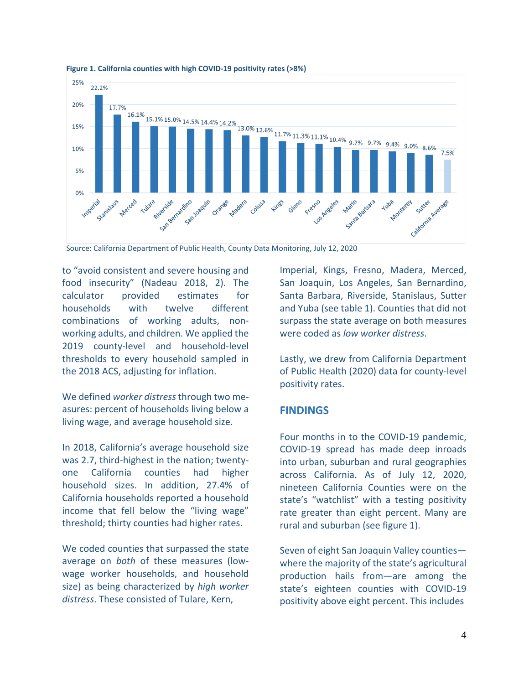

**Figure 1. California counties with high COVID-19 positivity rates (>8%)**

Source: California Department of Public Health, County Data Monitoring, July 12, 2020

to "avoid consistent and severe housing and food insecurity" (Nadeau 2018, 2). The calculator provided estimates for households with twelve different combinations of working adults, nonworking adults, and children. We applied the 2019 county-level and household-level thresholds to every household sampled in the 2018 ACS, adjusting for inflation.

We defined *worker distress* through two measures: percent of households living below a living wage, and average household size.

In 2018, California's average household size was 2.7, third-highest in the nation; twentyone California counties had higher household sizes. In addition, 27.4% of California households reported a household income that fell below the "living wage" threshold; thirty counties had higher rates.

We coded counties that surpassed the state average on *both* of these measures (lowwage worker households, and household size) as being characterized by *high worker distress*. These consisted of Tulare, Kern,

Imperial, Kings, Fresno, Madera, Merced, San Joaquin, Los Angeles, San Bernardino, Santa Barbara, Riverside, Stanislaus, Sutter and Yuba (see table 1). Counties that did not surpass the state average on both measures were coded as *low worker distress*.

Lastly, we drew from California Department of Public Health (2020) data for county-level positivity rates.

# **FINDINGS**

Four months in to the COVID-19 pandemic, COVID-19 spread has made deep inroads into urban, suburban and rural geographies across California. As of July 12, 2020, nineteen California Counties were on the state's "watchlist" with a testing positivity rate greater than eight percent. Many are rural and suburban (see figure 1).

Seven of eight San Joaquin Valley counties where the majority of the state's agricultural production hails from—are among the state's eighteen counties with COVID-19 positivity above eight percent. This includes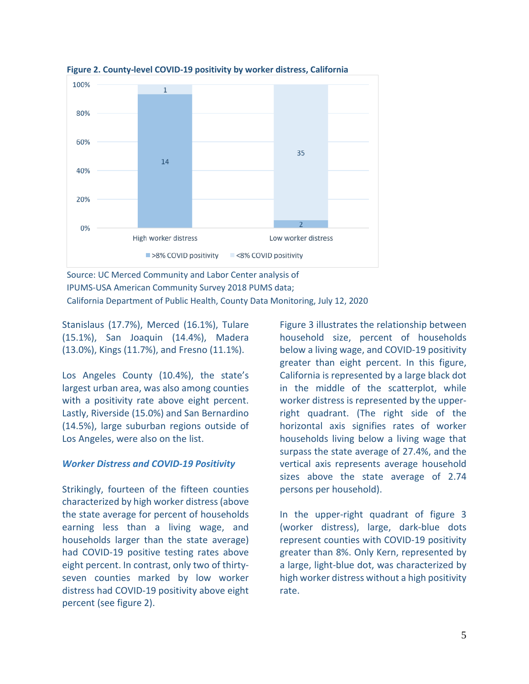

**Figure 2. County-level COVID-19 positivity by worker distress, California**

Source: UC Merced Community and Labor Center analysis of IPUMS-USA American Community Survey 2018 PUMS data; California Department of Public Health, County Data Monitoring, July 12, 2020

Stanislaus (17.7%), Merced (16.1%), Tulare (15.1%), San Joaquin (14.4%), Madera (13.0%), Kings (11.7%), and Fresno (11.1%).

Los Angeles County (10.4%), the state's largest urban area, was also among counties with a positivity rate above eight percent. Lastly, Riverside (15.0%) and San Bernardino (14.5%), large suburban regions outside of Los Angeles, were also on the list.

# *Worker Distress and COVID-19 Positivity*

Strikingly, fourteen of the fifteen counties characterized by high worker distress (above the state average for percent of households earning less than a living wage, and households larger than the state average) had COVID-19 positive testing rates above eight percent. In contrast, only two of thirtyseven counties marked by low worker distress had COVID-19 positivity above eight percent (see figure 2).

Figure 3 illustrates the relationship between household size, percent of households below a living wage, and COVID-19 positivity greater than eight percent. In this figure, California is represented by a large black dot in the middle of the scatterplot, while worker distress is represented by the upperright quadrant. (The right side of the horizontal axis signifies rates of worker households living below a living wage that surpass the state average of 27.4%, and the vertical axis represents average household sizes above the state average of 2.74 persons per household).

In the upper-right quadrant of figure 3 (worker distress), large, dark-blue dots represent counties with COVID-19 positivity greater than 8%. Only Kern, represented by a large, light-blue dot, was characterized by high worker distress without a high positivity rate.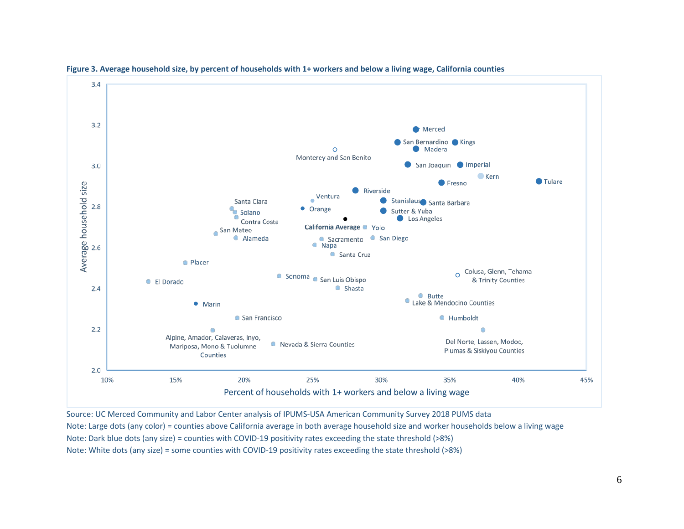

**Figure 3. Average household size, by percent of households with 1+ workers and below a living wage, California counties**

Source: UC Merced Community and Labor Center analysis of IPUMS-USA American Community Survey 2018 PUMS data Note: Large dots (any color) = counties above California average in both average household size and worker households below a living wage Note: Dark blue dots (any size) = counties with COVID-19 positivity rates exceeding the state threshold (>8%) Note: White dots (any size) = some counties with COVID-19 positivity rates exceeding the state threshold (>8%)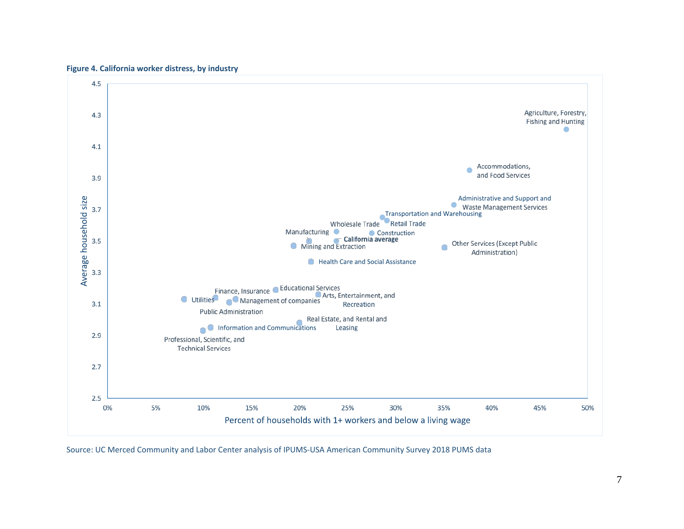

**Figure 4. California worker distress, by industry**

Source: UC Merced Community and Labor Center analysis of IPUMS-USA American Community Survey 2018 PUMS data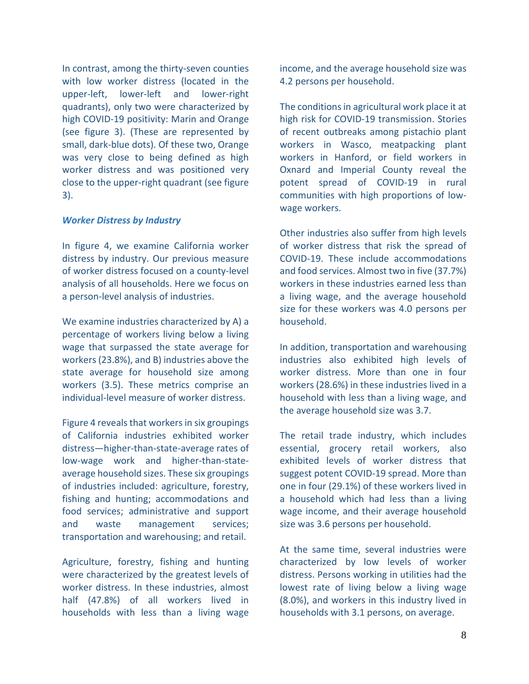In contrast, among the thirty-seven counties with low worker distress (located in the upper-left, lower-left and lower-right quadrants), only two were characterized by high COVID-19 positivity: Marin and Orange (see figure 3). (These are represented by small, dark-blue dots). Of these two, Orange was very close to being defined as high worker distress and was positioned very close to the upper-right quadrant (see figure 3).

#### *Worker Distress by Industry*

In figure 4, we examine California worker distress by industry. Our previous measure of worker distress focused on a county-level analysis of all households. Here we focus on a person-level analysis of industries.

We examine industries characterized by A) a percentage of workers living below a living wage that surpassed the state average for workers (23.8%), and B) industries above the state average for household size among workers (3.5). These metrics comprise an individual-level measure of worker distress.

Figure 4 reveals that workers in six groupings of California industries exhibited worker distress—higher-than-state-average rates of low-wage work and higher-than-stateaverage household sizes. These six groupings of industries included: agriculture, forestry, fishing and hunting; accommodations and food services; administrative and support and waste management services; transportation and warehousing; and retail.

Agriculture, forestry, fishing and hunting were characterized by the greatest levels of worker distress. In these industries, almost half (47.8%) of all workers lived in households with less than a living wage

income, and the average household size was 4.2 persons per household.

The conditions in agricultural work place it at high risk for COVID-19 transmission. Stories of recent outbreaks among pistachio plant workers in Wasco, meatpacking plant workers in Hanford, or field workers in Oxnard and Imperial County reveal the potent spread of COVID-19 in rural communities with high proportions of lowwage workers.

Other industries also suffer from high levels of worker distress that risk the spread of COVID-19. These include accommodations and food services. Almost two in five (37.7%) workers in these industries earned less than a living wage, and the average household size for these workers was 4.0 persons per household.

In addition, transportation and warehousing industries also exhibited high levels of worker distress. More than one in four workers (28.6%) in these industries lived in a household with less than a living wage, and the average household size was 3.7.

The retail trade industry, which includes essential, grocery retail workers, also exhibited levels of worker distress that suggest potent COVID-19 spread. More than one in four (29.1%) of these workers lived in a household which had less than a living wage income, and their average household size was 3.6 persons per household.

At the same time, several industries were characterized by low levels of worker distress. Persons working in utilities had the lowest rate of living below a living wage (8.0%), and workers in this industry lived in households with 3.1 persons, on average.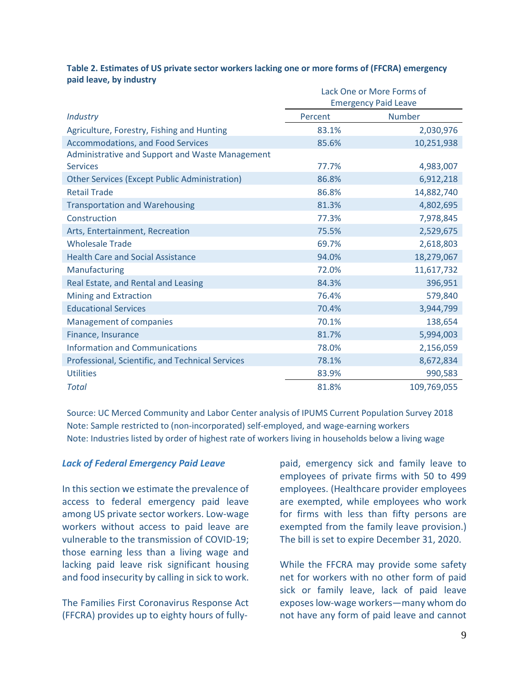|                                                      | Lack One or More Forms of<br><b>Emergency Paid Leave</b> |               |
|------------------------------------------------------|----------------------------------------------------------|---------------|
| <b>Industry</b>                                      | Percent                                                  | <b>Number</b> |
| Agriculture, Forestry, Fishing and Hunting           | 83.1%                                                    | 2,030,976     |
| <b>Accommodations, and Food Services</b>             | 85.6%                                                    | 10,251,938    |
| Administrative and Support and Waste Management      |                                                          |               |
| <b>Services</b>                                      | 77.7%                                                    | 4,983,007     |
| <b>Other Services (Except Public Administration)</b> | 86.8%                                                    | 6,912,218     |
| <b>Retail Trade</b>                                  | 86.8%                                                    | 14,882,740    |
| <b>Transportation and Warehousing</b>                | 81.3%                                                    | 4,802,695     |
| Construction                                         | 77.3%                                                    | 7,978,845     |
| Arts, Entertainment, Recreation                      | 75.5%                                                    | 2,529,675     |
| <b>Wholesale Trade</b>                               | 69.7%                                                    | 2,618,803     |
| <b>Health Care and Social Assistance</b>             | 94.0%                                                    | 18,279,067    |
| Manufacturing                                        | 72.0%                                                    | 11,617,732    |
| Real Estate, and Rental and Leasing                  | 84.3%                                                    | 396,951       |
| Mining and Extraction                                | 76.4%                                                    | 579,840       |
| <b>Educational Services</b>                          | 70.4%                                                    | 3,944,799     |
| Management of companies                              | 70.1%                                                    | 138,654       |
| Finance, Insurance                                   | 81.7%                                                    | 5,994,003     |
| <b>Information and Communications</b>                | 78.0%                                                    | 2,156,059     |
| Professional, Scientific, and Technical Services     | 78.1%                                                    | 8,672,834     |
| <b>Utilities</b>                                     | 83.9%                                                    | 990,583       |
| <b>Total</b>                                         | 81.8%                                                    | 109,769,055   |

#### **Table 2. Estimates of US private sector workers lacking one or more forms of (FFCRA) emergency paid leave, by industry**

Source: UC Merced Community and Labor Center analysis of IPUMS Current Population Survey 2018 Note: Sample restricted to (non-incorporated) self-employed, and wage-earning workers Note: Industries listed by order of highest rate of workers living in households below a living wage

#### *Lack of Federal Emergency Paid Leave*

In this section we estimate the prevalence of access to federal emergency paid leave among US private sector workers. Low-wage workers without access to paid leave are vulnerable to the transmission of COVID-19; those earning less than a living wage and lacking paid leave risk significant housing and food insecurity by calling in sick to work.

The Families First Coronavirus Response Act (FFCRA) provides up to eighty hours of fully-

paid, emergency sick and family leave to employees of private firms with 50 to 499 employees. (Healthcare provider employees are exempted, while employees who work for firms with less than fifty persons are exempted from the family leave provision.) The bill is set to expire December 31, 2020.

While the FFCRA may provide some safety net for workers with no other form of paid sick or family leave, lack of paid leave exposeslow-wage workers—many whom do not have any form of paid leave and cannot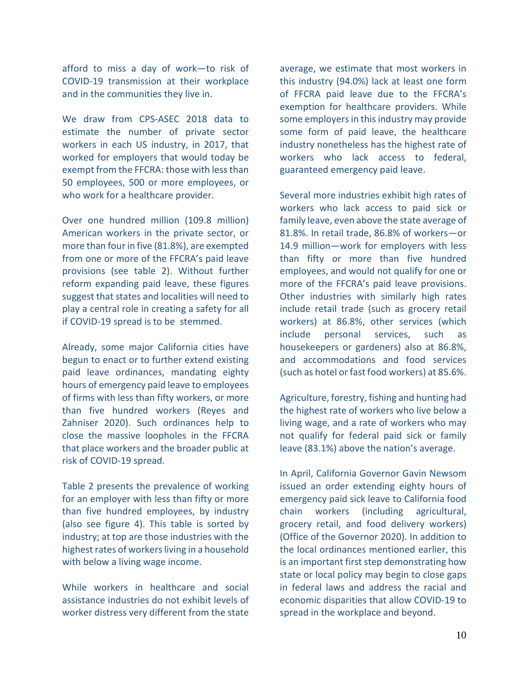afford to miss a day of work—to risk of COVID-19 transmission at their workplace and in the communities they live in.

We draw from CPS-ASEC 2018 data to estimate the number of private sector workers in each US industry, in 2017, that worked for employers that would today be exempt from the FFCRA: those with less than 50 employees, 500 or more employees, or who work for a healthcare provider.

Over one hundred million (109.8 million) American workers in the private sector, or more than four in five (81.8%), are exempted from one or more of the FFCRA's paid leave provisions (see table 2). Without further reform expanding paid leave, these figures suggest that states and localities will need to play a central role in creating a safety for all if COVID-19 spread is to be stemmed.

Already, some major California cities have begun to enact or to further extend existing paid leave ordinances, mandating eighty hours of emergency paid leave to employees of firms with less than fifty workers, or more than five hundred workers (Reyes and Zahniser 2020). Such ordinances help to close the massive loopholes in the FFCRA that place workers and the broader public at risk of COVID-19 spread.

Table 2 presents the prevalence of working for an employer with less than fifty or more than five hundred employees, by industry (also see figure 4). This table is sorted by industry; at top are those industries with the highest rates of workers living in a household with below a living wage income.

While workers in healthcare and social assistance industries do not exhibit levels of worker distress very different from the state average, we estimate that most workers in this industry (94.0%) lack at least one form of FFCRA paid leave due to the FFCRA's exemption for healthcare providers. While some employers in this industry may provide some form of paid leave, the healthcare industry nonetheless has the highest rate of workers who lack access to federal, guaranteed emergency paid leave.

Several more industries exhibit high rates of workers who lack access to paid sick or family leave, even above the state average of 81.8%. In retail trade, 86.8% of workers—or 14.9 million—work for employers with less than fifty or more than five hundred employees, and would not qualify for one or more of the FFCRA's paid leave provisions. Other industries with similarly high rates include retail trade (such as grocery retail workers) at 86.8%, other services (which include personal services, such as housekeepers or gardeners) also at 86.8%, and accommodations and food services (such as hotel or fast food workers) at 85.6%.

Agriculture, forestry, fishing and hunting had the highest rate of workers who live below a living wage, and a rate of workers who may not qualify for federal paid sick or family leave (83.1%) above the nation's average.

In April, California Governor Gavin Newsom issued an order extending eighty hours of emergency paid sick leave to California food chain workers (including agricultural, grocery retail, and food delivery workers) (Office of the Governor 2020). In addition to the local ordinances mentioned earlier, this is an important first step demonstrating how state or local policy may begin to close gaps in federal laws and address the racial and economic disparities that allow COVID-19 to spread in the workplace and beyond.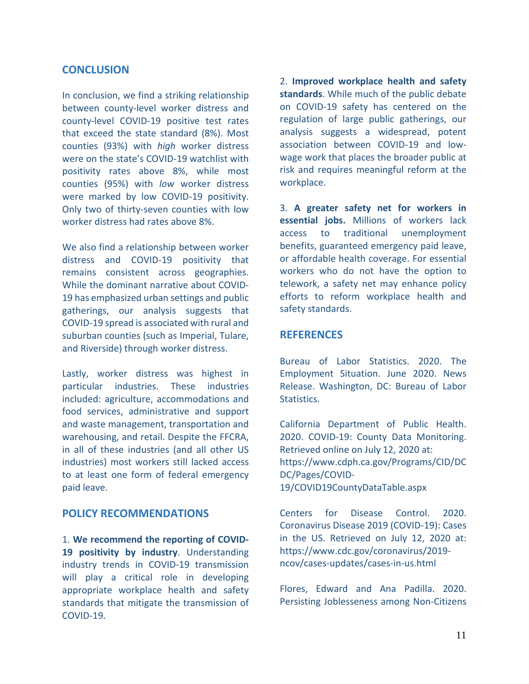# **CONCLUSION**

In conclusion, we find a striking relationship between county-level worker distress and county-level COVID-19 positive test rates that exceed the state standard (8%). Most counties (93%) with *high* worker distress were on the state's COVID-19 watchlist with positivity rates above 8%, while most counties (95%) with *low* worker distress were marked by low COVID-19 positivity. Only two of thirty-seven counties with low worker distress had rates above 8%.

We also find a relationship between worker distress and COVID-19 positivity that remains consistent across geographies. While the dominant narrative about COVID-19 has emphasized urban settings and public gatherings, our analysis suggests that COVID-19 spread is associated with rural and suburban counties (such as Imperial, Tulare, and Riverside) through worker distress.

Lastly, worker distress was highest in particular industries. These industries included: agriculture, accommodations and food services, administrative and support and waste management, transportation and warehousing, and retail. Despite the FFCRA, in all of these industries (and all other US industries) most workers still lacked access to at least one form of federal emergency paid leave.

# **POLICY RECOMMENDATIONS**

1. **We recommend the reporting of COVID-19 positivity by industry**. Understanding industry trends in COVID-19 transmission will play a critical role in developing appropriate workplace health and safety standards that mitigate the transmission of COVID-19.

2. **Improved workplace health and safety standards**. While much of the public debate on COVID-19 safety has centered on the regulation of large public gatherings, our analysis suggests a widespread, potent association between COVID-19 and lowwage work that places the broader public at risk and requires meaningful reform at the workplace.

3. **A greater safety net for workers in essential jobs.** Millions of workers lack access to traditional unemployment benefits, guaranteed emergency paid leave, or affordable health coverage. For essential workers who do not have the option to telework, a safety net may enhance policy efforts to reform workplace health and safety standards.

#### **REFERENCES**

Bureau of Labor Statistics. 2020. The Employment Situation. June 2020. News Release. Washington, DC: Bureau of Labor Statistics.

California Department of Public Health. 2020. COVID-19: County Data Monitoring. Retrieved online on July 12, 2020 at: https://www.cdph.ca.gov/Programs/CID/DC DC/Pages/COVID-19/COVID19CountyDataTable.aspx

Centers for Disease Control. 2020. Coronavirus Disease 2019 (COVID-19): Cases in the US. Retrieved on July 12, 2020 at: https://www.cdc.gov/coronavirus/2019 ncov/cases-updates/cases-in-us.html

Flores, Edward and Ana Padilla. 2020. Persisting Joblesseness among Non-Citizens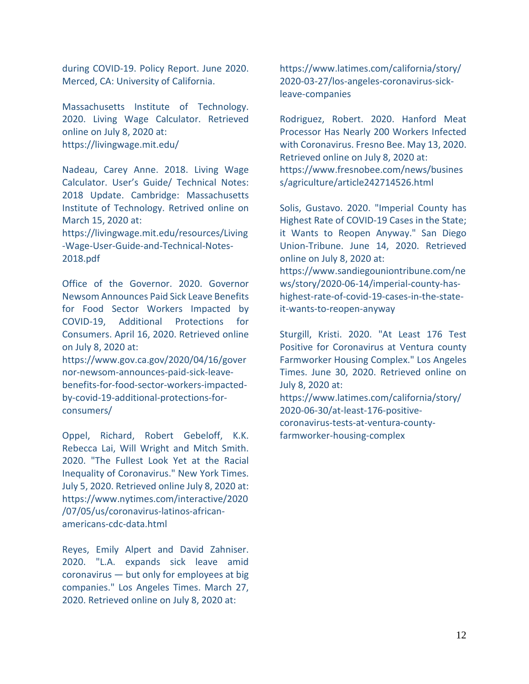during COVID-19. Policy Report. June 2020. Merced, CA: University of California.

Massachusetts Institute of Technology. 2020. Living Wage Calculator. Retrieved online on July 8, 2020 at: https://livingwage.mit.edu/

Nadeau, Carey Anne. 2018. Living Wage Calculator. User's Guide/ Technical Notes: 2018 Update. Cambridge: Massachusetts Institute of Technology. Retrived online on March 15, 2020 at:

https://livingwage.mit.edu/resources/Living -Wage-User-Guide-and-Technical-Notes-2018.pdf

Office of the Governor. 2020. Governor Newsom Announces Paid Sick Leave Benefits for Food Sector Workers Impacted by COVID-19, Additional Protections for Consumers. April 16, 2020. Retrieved online on July 8, 2020 at:

https://www.gov.ca.gov/2020/04/16/gover nor-newsom-announces-paid-sick-leavebenefits-for-food-sector-workers-impactedby-covid-19-additional-protections-forconsumers/

Oppel, Richard, Robert Gebeloff, K.K. Rebecca Lai, Will Wright and Mitch Smith. 2020. "The Fullest Look Yet at the Racial Inequality of Coronavirus." New York Times. July 5, 2020. Retrieved online July 8, 2020 at: https://www.nytimes.com/interactive/2020 /07/05/us/coronavirus-latinos-africanamericans-cdc-data.html

Reyes, Emily Alpert and David Zahniser. 2020. "L.A. expands sick leave amid coronavirus — but only for employees at big companies." Los Angeles Times. March 27, 2020. Retrieved online on July 8, 2020 at:

https://www.latimes.com/california/story/ 2020-03-27/los-angeles-coronavirus-sickleave-companies

Rodriguez, Robert. 2020. Hanford Meat Processor Has Nearly 200 Workers Infected with Coronavirus. Fresno Bee. May 13, 2020. Retrieved online on July 8, 2020 at: https://www.fresnobee.com/news/busines s/agriculture/article242714526.html

Solis, Gustavo. 2020. "Imperial County has Highest Rate of COVID-19 Cases in the State; it Wants to Reopen Anyway." San Diego Union-Tribune. June 14, 2020. Retrieved online on July 8, 2020 at: https://www.sandiegouniontribune.com/ne ws/story/2020-06-14/imperial-county-hashighest-rate-of-covid-19-cases-in-the-stateit-wants-to-reopen-anyway

Sturgill, Kristi. 2020. "At Least 176 Test Positive for Coronavirus at Ventura county Farmworker Housing Complex." Los Angeles Times. June 30, 2020. Retrieved online on July 8, 2020 at: https://www.latimes.com/california/story/

2020-06-30/at-least-176-positivecoronavirus-tests-at-ventura-countyfarmworker-housing-complex